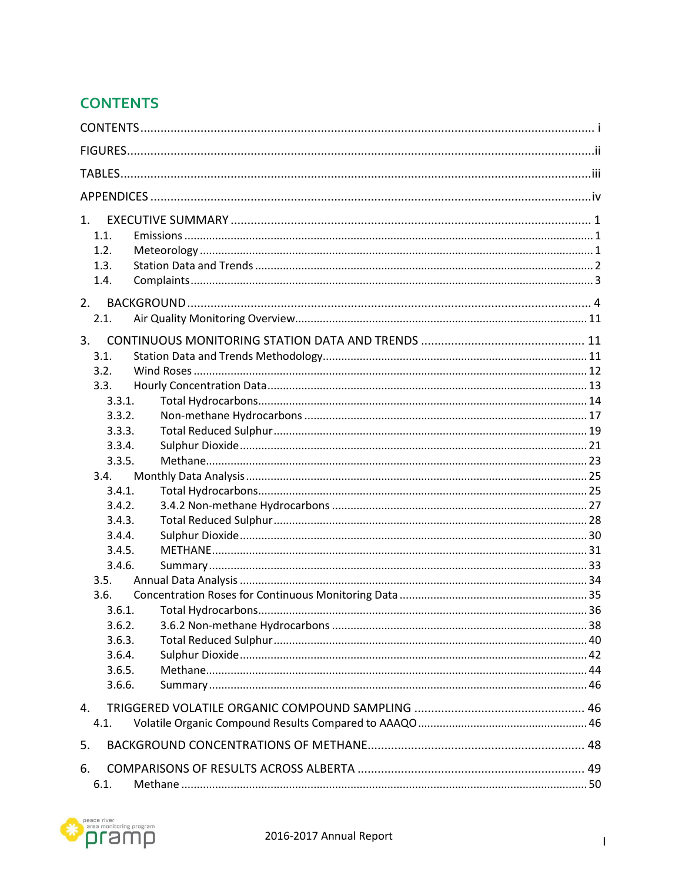## <span id="page-0-0"></span>**CONTENTS**

| 1 <sub>1</sub> |  |  |  |
|----------------|--|--|--|
| 1.1.           |  |  |  |
| 1.2.           |  |  |  |
| 1.3.           |  |  |  |
| 1.4.           |  |  |  |
| 2.             |  |  |  |
| 2.1.           |  |  |  |
| 3.             |  |  |  |
| 3.1.           |  |  |  |
| 3.2.           |  |  |  |
| 3.3.           |  |  |  |
| 3.3.1.         |  |  |  |
| 3.3.2.         |  |  |  |
| 3.3.3.         |  |  |  |
| 3.3.4.         |  |  |  |
| 3.3.5.         |  |  |  |
| 3.4.<br>3.4.1. |  |  |  |
| 3.4.2.         |  |  |  |
| 3.4.3.         |  |  |  |
| 3.4.4.         |  |  |  |
| 3.4.5.         |  |  |  |
| 3.4.6.         |  |  |  |
| 3.5.           |  |  |  |
| 3.6.           |  |  |  |
| 3.6.1.         |  |  |  |
| 3.6.2.         |  |  |  |
| 3.6.3.         |  |  |  |
| 3.6.4.         |  |  |  |
| 3.6.5.         |  |  |  |
| 3.6.6.         |  |  |  |
| 4.             |  |  |  |
| 4.1.           |  |  |  |
| 5.             |  |  |  |
| 6.             |  |  |  |
| 6.1.           |  |  |  |

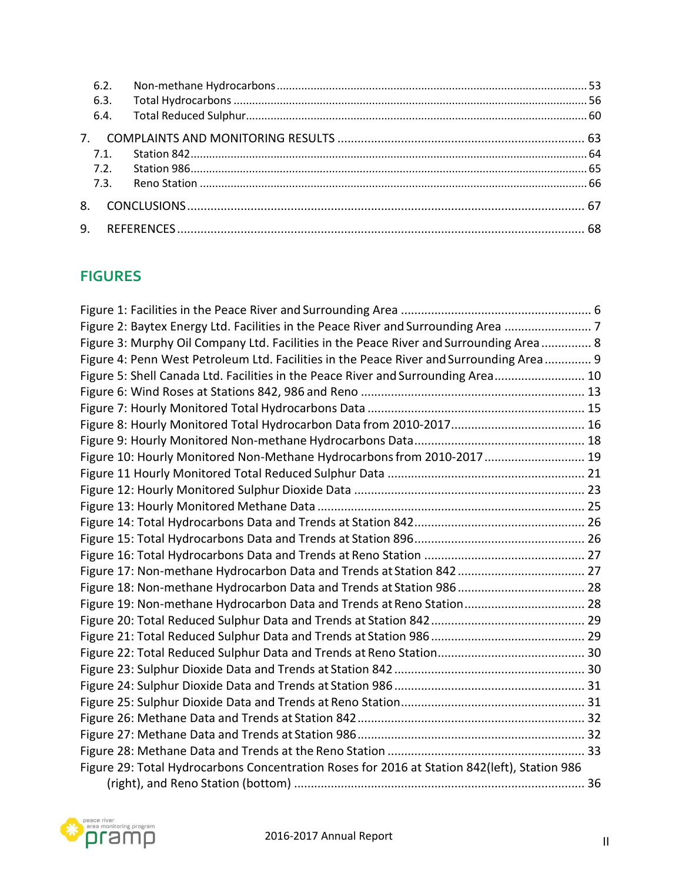| 6.2. |  |
|------|--|
| 6.3. |  |
| 6.4. |  |
|      |  |
| 7.1. |  |
| 7.2. |  |
| 7.3. |  |
|      |  |
|      |  |

## <span id="page-1-0"></span>**FIGURES**

| Figure 2: Baytex Energy Ltd. Facilities in the Peace River and Surrounding Area 7            |  |
|----------------------------------------------------------------------------------------------|--|
| Figure 3: Murphy Oil Company Ltd. Facilities in the Peace River and Surrounding Area 8       |  |
| Figure 4: Penn West Petroleum Ltd. Facilities in the Peace River and Surrounding Area 9      |  |
| Figure 5: Shell Canada Ltd. Facilities in the Peace River and Surrounding Area 10            |  |
|                                                                                              |  |
|                                                                                              |  |
|                                                                                              |  |
|                                                                                              |  |
| Figure 10: Hourly Monitored Non-Methane Hydrocarbons from 2010-2017  19                      |  |
|                                                                                              |  |
|                                                                                              |  |
|                                                                                              |  |
|                                                                                              |  |
|                                                                                              |  |
|                                                                                              |  |
|                                                                                              |  |
|                                                                                              |  |
| Figure 19: Non-methane Hydrocarbon Data and Trends at Reno Station 28                        |  |
|                                                                                              |  |
|                                                                                              |  |
|                                                                                              |  |
|                                                                                              |  |
|                                                                                              |  |
|                                                                                              |  |
|                                                                                              |  |
|                                                                                              |  |
|                                                                                              |  |
| Figure 29: Total Hydrocarbons Concentration Roses for 2016 at Station 842(left), Station 986 |  |
|                                                                                              |  |

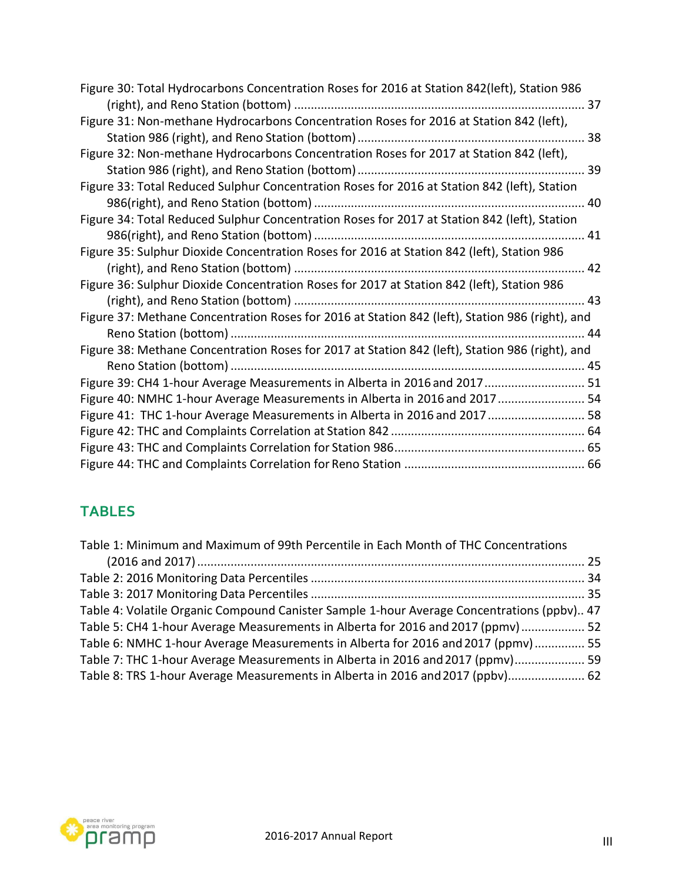<span id="page-2-1"></span>

| Figure 30: Total Hydrocarbons Concentration Roses for 2016 at Station 842(left), Station 986    |
|-------------------------------------------------------------------------------------------------|
| 37                                                                                              |
| Figure 31: Non-methane Hydrocarbons Concentration Roses for 2016 at Station 842 (left),         |
|                                                                                                 |
| Figure 32: Non-methane Hydrocarbons Concentration Roses for 2017 at Station 842 (left),         |
|                                                                                                 |
| Figure 33: Total Reduced Sulphur Concentration Roses for 2016 at Station 842 (left), Station    |
|                                                                                                 |
| Figure 34: Total Reduced Sulphur Concentration Roses for 2017 at Station 842 (left), Station    |
|                                                                                                 |
| Figure 35: Sulphur Dioxide Concentration Roses for 2016 at Station 842 (left), Station 986      |
|                                                                                                 |
| Figure 36: Sulphur Dioxide Concentration Roses for 2017 at Station 842 (left), Station 986      |
|                                                                                                 |
| Figure 37: Methane Concentration Roses for 2016 at Station 842 (left), Station 986 (right), and |
|                                                                                                 |
| Figure 38: Methane Concentration Roses for 2017 at Station 842 (left), Station 986 (right), and |
|                                                                                                 |
| Figure 39: CH4 1-hour Average Measurements in Alberta in 2016 and 2017 51                       |
| Figure 40: NMHC 1-hour Average Measurements in Alberta in 2016 and 2017  54                     |
| Figure 41: THC 1-hour Average Measurements in Alberta in 2016 and 2017 58                       |
|                                                                                                 |
|                                                                                                 |
|                                                                                                 |

## <span id="page-2-0"></span>**TABLES**

| Table 1: Minimum and Maximum of 99th Percentile in Each Month of THC Concentrations        |  |
|--------------------------------------------------------------------------------------------|--|
|                                                                                            |  |
|                                                                                            |  |
|                                                                                            |  |
| Table 4: Volatile Organic Compound Canister Sample 1-hour Average Concentrations (ppbv) 47 |  |
| Table 5: CH4 1-hour Average Measurements in Alberta for 2016 and 2017 (ppmv) 52            |  |
| Table 6: NMHC 1-hour Average Measurements in Alberta for 2016 and 2017 (ppmv) 55           |  |
| Table 7: THC 1-hour Average Measurements in Alberta in 2016 and 2017 (ppmv) 59             |  |
| Table 8: TRS 1-hour Average Measurements in Alberta in 2016 and 2017 (ppbv) 62             |  |